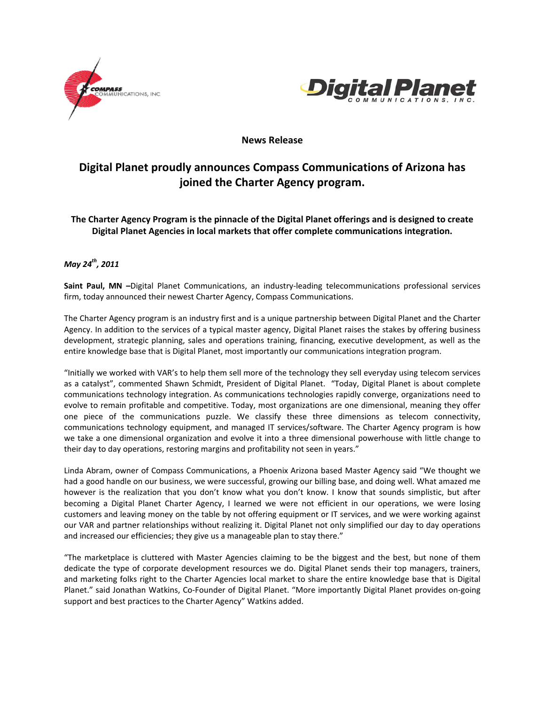



### **News Release**

# **Digital Planet proudly announces Compass Communications of Arizona has joined the Charter Agency program.**

**The Charter Agency Program is the pinnacle of the Digital Planet offerings and is designed to create Digital Planet Agencies in local markets that offer complete communications integration.**

## *May 24th, 2011*

**Saint Paul, MN –**Digital Planet Communications, an industry‐leading telecommunications professional services firm, today announced their newest Charter Agency, Compass Communications.

The Charter Agency program is an industry first and is a unique partnership between Digital Planet and the Charter Agency. In addition to the services of a typical master agency, Digital Planet raises the stakes by offering business development, strategic planning, sales and operations training, financing, executive development, as well as the entire knowledge base that is Digital Planet, most importantly our communications integration program.

"Initially we worked with VAR's to help them sell more of the technology they sell everyday using telecom services as a catalyst", commented Shawn Schmidt, President of Digital Planet. "Today, Digital Planet is about complete communications technology integration. As communications technologies rapidly converge, organizations need to evolve to remain profitable and competitive. Today, most organizations are one dimensional, meaning they offer one piece of the communications puzzle. We classify these three dimensions as telecom connectivity, communications technology equipment, and managed IT services/software. The Charter Agency program is how we take a one dimensional organization and evolve it into a three dimensional powerhouse with little change to their day to day operations, restoring margins and profitability not seen in years."

Linda Abram, owner of Compass Communications, a Phoenix Arizona based Master Agency said "We thought we had a good handle on our business, we were successful, growing our billing base, and doing well. What amazed me however is the realization that you don't know what you don't know. I know that sounds simplistic, but after becoming a Digital Planet Charter Agency, I learned we were not efficient in our operations, we were losing customers and leaving money on the table by not offering equipment or IT services, and we were working against our VAR and partner relationships without realizing it. Digital Planet not only simplified our day to day operations and increased our efficiencies; they give us a manageable plan to stay there."

"The marketplace is cluttered with Master Agencies claiming to be the biggest and the best, but none of them dedicate the type of corporate development resources we do. Digital Planet sends their top managers, trainers, and marketing folks right to the Charter Agencies local market to share the entire knowledge base that is Digital Planet." said Jonathan Watkins, Co‐Founder of Digital Planet. "More importantly Digital Planet provides on‐going support and best practices to the Charter Agency" Watkins added.